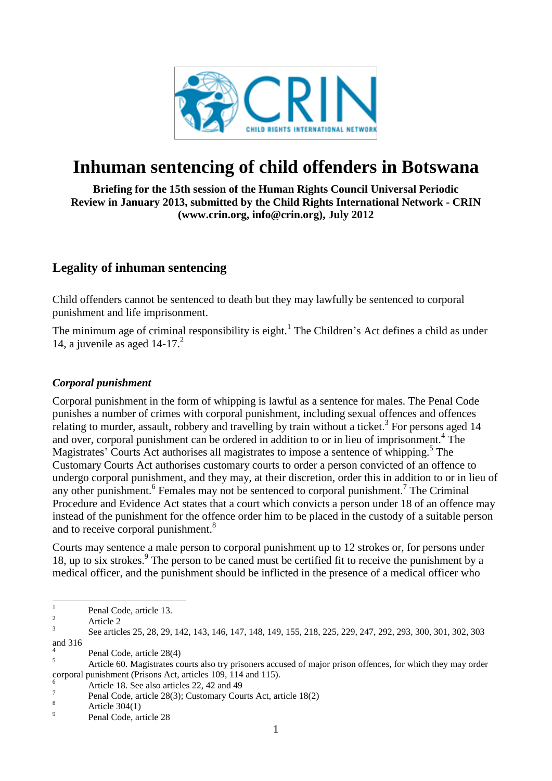

# **Inhuman sentencing of child offenders in Botswana**

**Briefing for the 15th session of the Human Rights Council Universal Periodic Review in January 2013, submitted by the Child Rights International Network - CRIN (www.crin.org, info@crin.org), July 2012**

### **Legality of inhuman sentencing**

Child offenders cannot be sentenced to death but they may lawfully be sentenced to corporal punishment and life imprisonment.

The minimum age of criminal responsibility is eight.<sup>1</sup> The Children's Act defines a child as under 14, a juvenile as aged  $14-17<sup>2</sup>$ 

#### *Corporal punishment*

Corporal punishment in the form of whipping is lawful as a sentence for males. The Penal Code punishes a number of crimes with corporal punishment, including sexual offences and offences relating to murder, assault, robbery and travelling by train without a ticket.<sup>3</sup> For persons aged 14 and over, corporal punishment can be ordered in addition to or in lieu of imprisonment.<sup>4</sup> The Magistrates' Courts Act authorises all magistrates to impose a sentence of whipping.<sup>5</sup> The Customary Courts Act authorises customary courts to order a person convicted of an offence to undergo corporal punishment, and they may, at their discretion, order this in addition to or in lieu of any other punishment.<sup>6</sup> Females may not be sentenced to corporal punishment.<sup>7</sup> The Criminal Procedure and Evidence Act states that a court which convicts a person under 18 of an offence may instead of the punishment for the offence order him to be placed in the custody of a suitable person and to receive corporal punishment.<sup>8</sup>

Courts may sentence a male person to corporal punishment up to 12 strokes or, for persons under 18, up to six strokes.<sup>9</sup> The person to be caned must be certified fit to receive the punishment by a medical officer, and the punishment should be inflicted in the presence of a medical officer who

<sup>2</sup> Article 2

 $\frac{1}{1}$ Penal Code, article 13.

<sup>3</sup> See articles 25, 28, 29, 142, 143, 146, 147, 148, 149, 155, 218, 225, 229, 247, 292, 293, 300, 301, 302, 303 and 316

<sup>4</sup> Penal Code, article 28(4)

<sup>&</sup>lt;sup>5</sup><br>Article 60. Magistrates courts also try prisoners accused of major prison offences, for which they may order corporal punishment (Prisons Act, articles  $109$ ,  $114$  and  $115$ ).

<sup>6</sup> Article 18. See also articles 22, 42 and 49

<sup>7</sup> Penal Code, article 28(3); Customary Courts Act, article 18(2)

 $8$  Article 304(1)

<sup>9</sup> Penal Code, article 28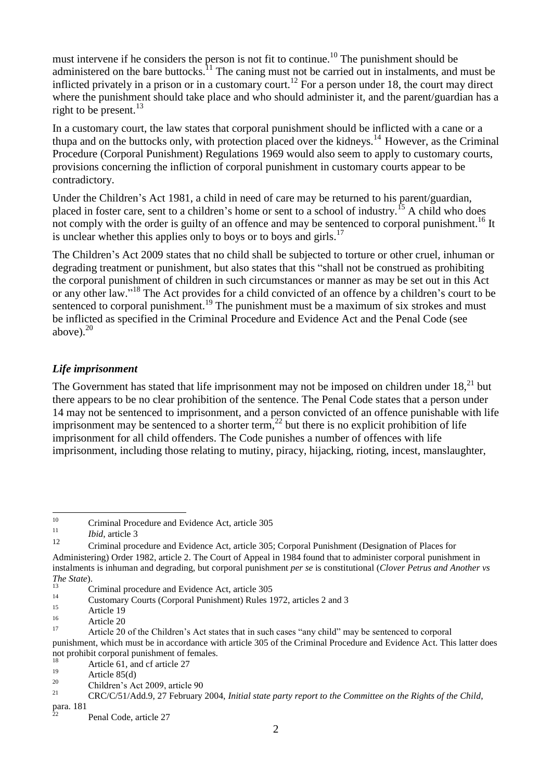must intervene if he considers the person is not fit to continue.<sup>10</sup> The punishment should be administered on the bare buttocks.<sup>11</sup> The caning must not be carried out in instalments, and must be inflicted privately in a prison or in a customary court.<sup>12</sup> For a person under 18, the court may direct where the punishment should take place and who should administer it, and the parent/guardian has a right to be present. $^{13}$ 

In a customary court, the law states that corporal punishment should be inflicted with a cane or a thupa and on the buttocks only, with protection placed over the kidneys.<sup>14</sup> However, as the Criminal Procedure (Corporal Punishment) Regulations 1969 would also seem to apply to customary courts, provisions concerning the infliction of corporal punishment in customary courts appear to be contradictory.

Under the Children's Act 1981, a child in need of care may be returned to his parent/guardian, placed in foster care, sent to a children's home or sent to a school of industry.<sup>15</sup> A child who does not comply with the order is guilty of an offence and may be sentenced to corporal punishment.<sup>16</sup> It is unclear whether this applies only to boys or to boys and girls.<sup>17</sup>

The Children's Act 2009 states that no child shall be subjected to torture or other cruel, inhuman or degrading treatment or punishment, but also states that this "shall not be construed as prohibiting the corporal punishment of children in such circumstances or manner as may be set out in this Act or any other law."<sup>18</sup> The Act provides for a child convicted of an offence by a children's court to be sentenced to corporal punishment.<sup>19</sup> The punishment must be a maximum of six strokes and must be inflicted as specified in the Criminal Procedure and Evidence Act and the Penal Code (see above). $20$ 

#### *Life imprisonment*

The Government has stated that life imprisonment may not be imposed on children under  $18<sup>21</sup>$  but there appears to be no clear prohibition of the sentence. The Penal Code states that a person under 14 may not be sentenced to imprisonment, and a person convicted of an offence punishable with life imprisonment may be sentenced to a shorter term, $^{22}$  but there is no explicit prohibition of life imprisonment for all child offenders. The Code punishes a number of offences with life imprisonment, including those relating to mutiny, piracy, hijacking, rioting, incest, manslaughter,

 $10\,$ <sup>10</sup> Criminal Procedure and Evidence Act, article 305

 $\frac{11}{12}$  *Ibid*, article 3

<sup>12</sup> Criminal procedure and Evidence Act, article 305; Corporal Punishment (Designation of Places for Administering) Order 1982, article 2. The Court of Appeal in 1984 found that to administer corporal punishment in instalments is inhuman and degrading, but corporal punishment *per se* is constitutional (*Clover Petrus and Another vs The State*).

 $13$  Criminal procedure and Evidence Act, article 305

<sup>&</sup>lt;sup>14</sup> Customary Courts (Corporal Punishment) Rules 1972, articles 2 and 3

 $\frac{15}{16}$  Article 19

 $\frac{16}{17}$  Article 20

<sup>17</sup> Article 20 of the Children's Act states that in such cases "any child" may be sentenced to corporal punishment, which must be in accordance with article 305 of the Criminal Procedure and Evidence Act. This latter does not prohibit corporal punishment of females.

<sup>&</sup>lt;sup>18</sup> Article 61, and cf article 27

 $\frac{19}{20}$  Article 85(d)

<sup>&</sup>lt;sup>20</sup> Children's Act 2009, article 90<br>
<sup>21</sup> CDC/C(51/1,110, 27 E)

<sup>21</sup> CRC/C/51/Add.9, 27 February 2004, *Initial state party report to the Committee on the Rights of the Child*,

para. 181

Penal Code, article 27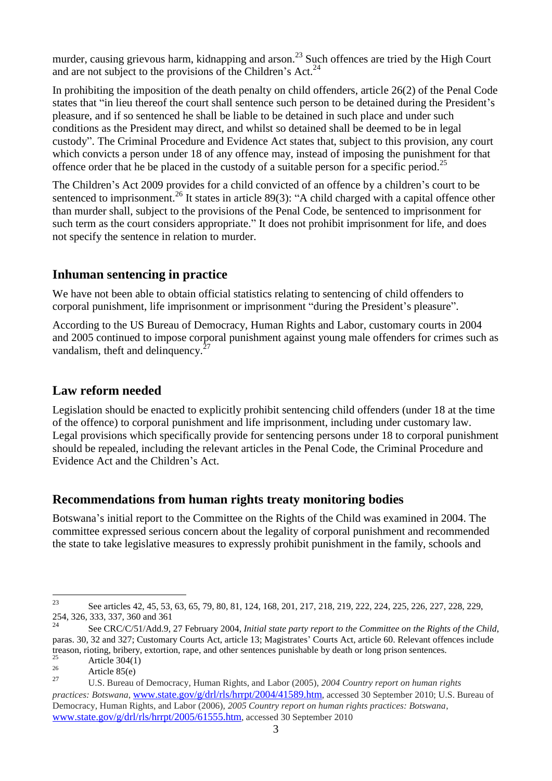murder, causing grievous harm, kidnapping and arson.<sup>23</sup> Such offences are tried by the High Court and are not subject to the provisions of the Children's Act.<sup>24</sup>

In prohibiting the imposition of the death penalty on child offenders, article 26(2) of the Penal Code states that "in lieu thereof the court shall sentence such person to be detained during the President's pleasure, and if so sentenced he shall be liable to be detained in such place and under such conditions as the President may direct, and whilst so detained shall be deemed to be in legal custody". The Criminal Procedure and Evidence Act states that, subject to this provision, any court which convicts a person under 18 of any offence may, instead of imposing the punishment for that offence order that he be placed in the custody of a suitable person for a specific period.<sup>25</sup>

The Children's Act 2009 provides for a child convicted of an offence by a children's court to be sentenced to imprisonment.<sup>26</sup> It states in article 89(3): "A child charged with a capital offence other than murder shall, subject to the provisions of the Penal Code, be sentenced to imprisonment for such term as the court considers appropriate." It does not prohibit imprisonment for life, and does not specify the sentence in relation to murder.

#### **Inhuman sentencing in practice**

We have not been able to obtain official statistics relating to sentencing of child offenders to corporal punishment, life imprisonment or imprisonment "during the President's pleasure".

According to the US Bureau of Democracy, Human Rights and Labor, customary courts in 2004 and 2005 continued to impose corporal punishment against young male offenders for crimes such as vandalism, theft and delinquency. $27$ 

## **Law reform needed**

Legislation should be enacted to explicitly prohibit sentencing child offenders (under 18 at the time of the offence) to corporal punishment and life imprisonment, including under customary law. Legal provisions which specifically provide for sentencing persons under 18 to corporal punishment should be repealed, including the relevant articles in the Penal Code, the Criminal Procedure and Evidence Act and the Children's Act.

#### **Recommendations from human rights treaty monitoring bodies**

Botswana's initial report to the Committee on the Rights of the Child was examined in 2004. The committee expressed serious concern about the legality of corporal punishment and recommended the state to take legislative measures to expressly prohibit punishment in the family, schools and

<sup>23</sup> <sup>23</sup> See articles 42, 45, 53, 63, 65, 79, 80, 81, 124, 168, 201, 217, 218, 219, 222, 224, 225, 226, 227, 228, 229, 254, 326, 333, 337, 360 and 361

<sup>24</sup> See CRC/C/51/Add.9, 27 February 2004, *Initial state party report to the Committee on the Rights of the Child*, paras. 30, 32 and 327; Customary Courts Act, article 13; Magistrates' Courts Act, article 60. Relevant offences include treason, rioting, bribery, extortion, rape, and other sentences punishable by death or long prison sentences.

<sup>&</sup>lt;sup>25</sup> Article 304(1)

 $\frac{26}{27}$  Article 85(e)

<sup>27</sup> U.S. Bureau of Democracy, Human Rights, and Labor (2005), *2004 Country report on human rights practices: Botswana*, [www.state.gov/g/drl/rls/hrrpt/2004/41589.htm](http://www.state.gov/g/drl/rls/hrrpt/2004/41589.htm), accessed 30 September 2010; U.S. Bureau of Democracy, Human Rights, and Labor (2006), *2005 Country report on human rights practices: Botswana*, [www.state.gov/g/drl/rls/hrrpt/2005/61555.htm](http://www.state.gov/g/drl/rls/hrrpt/2005/61555.htm), accessed 30 September 2010